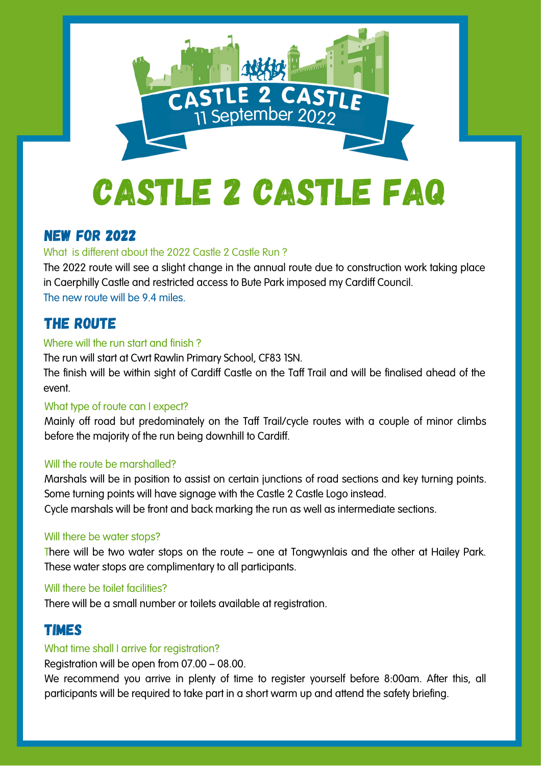

## New for 2022

## What is different about the 2022 Castle 2 Castle Run ?

The 2022 route will see a slight change in the annual route due to construction work taking place in Caerphilly Castle and restricted access to Bute Park imposed my Cardiff Council. The new route will be 9.4 miles.

# The route

## Where will the run start and finish?

The run will start at Cwrt Rawlin Primary School, CF83 1SN.

The finish will be within sight of Cardiff Castle on the Taff Trail and will be finalised ahead of the event.

## What type of route can I expect?

Mainly off road but predominately on the Taff Trail/cycle routes with a couple of minor climbs before the majority of the run being downhill to Cardiff.

## Will the route be marshalled?

Marshals will be in position to assist on certain junctions of road sections and key turning points. Some turning points will have signage with the Castle 2 Castle Logo instead. Cycle marshals will be front and back marking the run as well as intermediate sections.

## Will there be water stops?

There will be two water stops on the route – one at Tongwynlais and the other at Hailey Park. These water stops are complimentary to all participants.

## Will there be toilet facilities?

There will be a small number or toilets available at registration.

# Times

## What time shall I arrive for registration?

Registration will be open from 07.00 – 08.00.

We recommend you arrive in plenty of time to register yourself before 8:00am. After this, all participants will be required to take part in a short warm up and attend the safety briefing.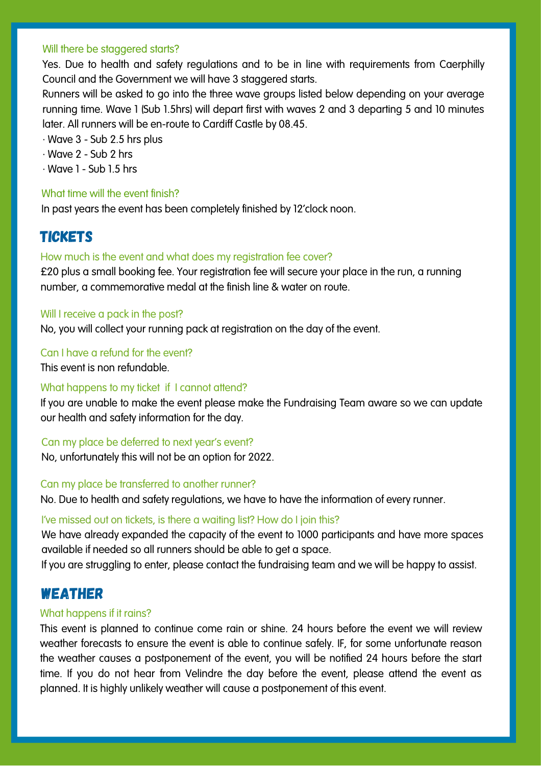#### Will there be staggered starts?

Yes. Due to health and safety regulations and to be in line with requirements from Caerphilly Council and the Government we will have 3 staggered starts.

Runners will be asked to go into the three wave groups listed below depending on your average running time. Wave 1 (Sub 1.5hrs) will depart first with waves 2 and 3 departing 5 and 10 minutes later. All runners will be en-route to Cardiff Castle by 08.45.

- · Wave 3 Sub 2.5 hrs plus
- · Wave 2 Sub 2 hrs
- $\cdot$  Wave 1 Sub 1.5 hrs

#### What time will the event finish?

In past years the event has been completely finished by 12'clock noon.

# **TICKETS**

#### How much is the event and what does my registration fee cover?

£20 plus a small booking fee. Your registration fee will secure your place in the run, a running number, a commemorative medal at the finish line & water on route.

#### Will I receive a pack in the post?

No, you will collect your running pack at registration on the day of the event.

#### Can I have a refund for the event?

This event is non refundable.

#### What happens to my ticket if I cannot attend?

If you are unable to make the event please make the Fundraising Team aware so we can update our health and safety information for the day.

#### Can my place be deferred to next year's event?

No, unfortunately this will not be an option for 2022.

#### Can my place be transferred to another runner?

No. Due to health and safety regulations, we have to have the information of every runner.

#### I've missed out on tickets, is there a waiting list? How do I join this?

We have already expanded the capacity of the event to 1000 participants and have more spaces available if needed so all runners should be able to get a space.

If you are struggling to enter, please contact the fundraising team and we will be happy to assist.

## Weather

#### What happens if it rains?

This event is planned to continue come rain or shine. 24 hours before the event we will review weather forecasts to ensure the event is able to continue safely. IF, for some unfortunate reason the weather causes a postponement of the event, you will be notified 24 hours before the start time. If you do not hear from Velindre the day before the event, please attend the event as planned. It is highly unlikely weather will cause a postponement of this event.